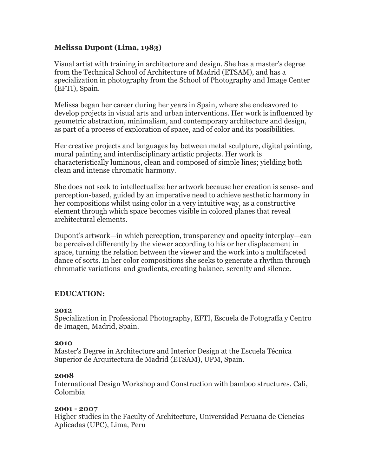# **Melissa Dupont (Lima, 1983)**

Visual artist with training in architecture and design. She has a master's degree from the Technical School of Architecture of Madrid (ETSAM), and has a specialization in photography from the School of Photography and Image Center (EFTI), Spain.

Melissa began her career during her years in Spain, where she endeavored to develop projects in visual arts and urban interventions. Her work is influenced by geometric abstraction, minimalism, and contemporary architecture and design, as part of a process of exploration of space, and of color and its possibilities.

Her creative projects and languages lay between metal sculpture, digital painting, mural painting and interdisciplinary artistic projects. Her work is characteristically luminous, clean and composed of simple lines; yielding both clean and intense chromatic harmony.

She does not seek to intellectualize her artwork because her creation is sense- and perception-based, guided by an imperative need to achieve aesthetic harmony in her compositions whilst using color in a very intuitive way, as a constructive element through which space becomes visible in colored planes that reveal architectural elements.

Dupont's artwork—in which perception, transparency and opacity interplay—can be perceived differently by the viewer according to his or her displacement in space, turning the relation between the viewer and the work into a multifaceted dance of sorts. In her color compositions she seeks to generate a rhythm through chromatic variations and gradients, creating balance, serenity and silence.

# **EDUCATION:**

#### **2012**

Specialization in Professional Photography, EFTI, Escuela de Fotografía y Centro de Imagen, Madrid, Spain.

#### **2010**

Master's Degree in Architecture and Interior Design at the Escuela Técnica Superior de Arquitectura de Madrid (ETSAM), UPM, Spain.

## **2008**

International Design Workshop and Construction with bamboo structures. Cali, Colombia

## **2001 - 2007**

Higher studies in the Faculty of Architecture, Universidad Peruana de Ciencias Aplicadas (UPC), Lima, Peru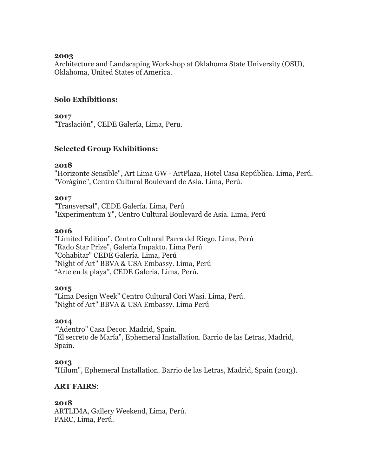### **2003**

Architecture and Landscaping Workshop at Oklahoma State University (OSU), Oklahoma, United States of America.

# **Solo Exhibitions:**

## **2017**

"Traslación", CEDE Galería, Lima, Peru.

## **Selected Group Exhibitions:**

### **2018**

"Horizonte Sensible", Art Lima GW - ArtPlaza, Hotel Casa República. Lima, Perú. "Vorágine", Centro Cultural Boulevard de Asia. Lima, Perú.

### **2017**

"Transversal", CEDE Galería. Lima, Perú "Experimentum Y", Centro Cultural Boulevard de Asia. Lima, Perú

#### **2016**

"Limited Edition", Centro Cultural Parra del Riego. Lima, Perú "Rado Star Prize", Galería Impakto. Lima Perú "Cohabitar" CEDE Galería. Lima, Perú "Night of Art" BBVA & USA Embassy. Lima, Perú "Arte en la playa", CEDE Galería, Lima, Perú.

## **2015**

"Lima Design Week" Centro Cultural Cori Wasi. Lima, Perú. "Night of Art" BBVA & USA Embassy. Lima Perú

## **2014**

"Adentro" Casa Decor. Madrid, Spain. "El secreto de María", Ephemeral Installation. Barrio de las Letras, Madrid, Spain.

## **2013**

"Hilum", Ephemeral Installation. Barrio de las Letras, Madrid, Spain (2013).

## **ART FAIRS**:

## **2018**

ARTLIMA, Gallery Weekend, Lima, Perú. PARC, Lima, Perú.